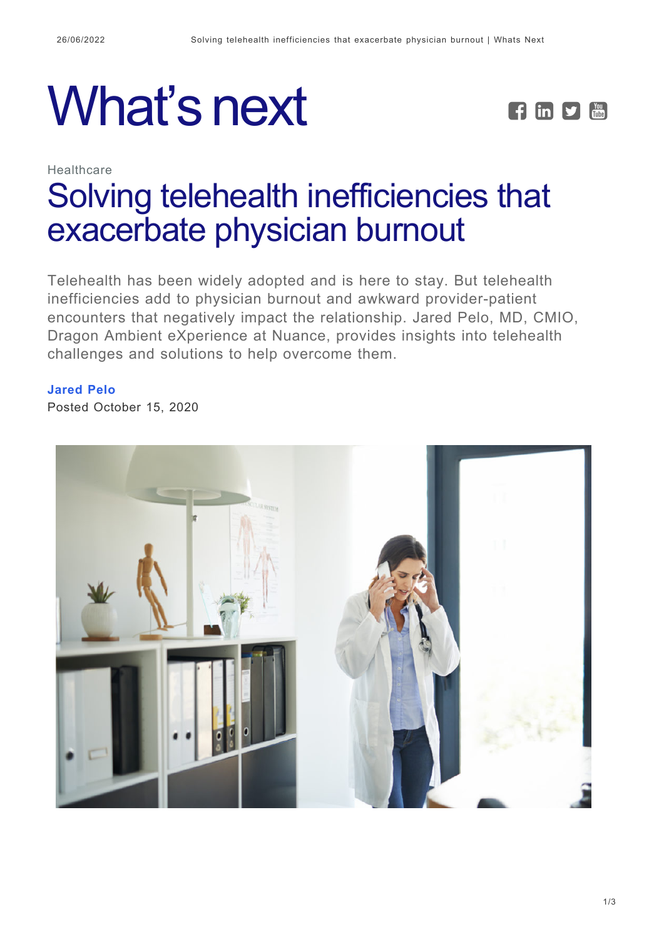



# Healthcare [Solving telehealth inefficiencies that](https://whatsnext.nuance.com/healthcare/nuance-dax-improve-telehealth-inefficiencies/) [exacerbate physician burnout](https://whatsnext.nuance.com/healthcare/nuance-dax-improve-telehealth-inefficiencies/)

Telehealth has been widely adopted and is here to stay. But telehealth inefficiencies add to physician burnout and awkward provider-patient encounters that negatively impact the relationship. Jared Pelo, MD, CMIO, Dragon Ambient eXperience at Nuance, provides insights into telehealth challenges and solutions to help overcome them.

## **[Jared Pelo](https://whatsnext.nuance.com/author/jaredpelo/)**

Posted October 15, 2020

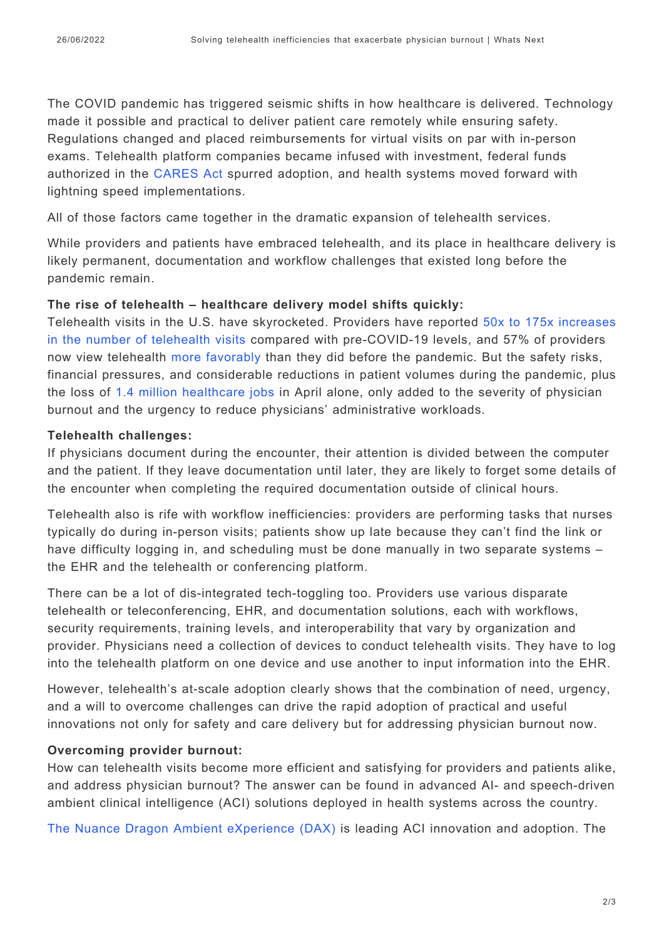The COVID pandemic has triggered seismic shifts in how healthcare is delivered. Technology made it possible and practical to deliver patient care remotely while ensuring safety. Regulations changed and placed reimbursements for virtual visits on par with in-person exams. Telehealth platform companies became infused with investment, federal funds authorized in the [CARES Act](https://www.fcc.gov/document/fcc-fights-covid-19-200m-adopts-long-term-connected-care-study) spurred adoption, and health systems moved forward with lightning speed implementations.

All of those factors came together in the dramatic expansion of telehealth services.

While providers and patients have embraced telehealth, and its place in healthcare delivery is likely permanent, documentation and workflow challenges that existed long before the pandemic remain.

#### **The rise of telehealth – healthcare delivery model shifts quickly:**

Telehealth visits in the U.S. have skyrocketed. Providers have reported [50x to 175x increases](https://www.advisory.com/research/health-care-advisory-board/blogs/at-the-helm/2020/06/10-covid-19-takeaways-june-11) [in the number of telehealth visits](https://www.advisory.com/research/health-care-advisory-board/blogs/at-the-helm/2020/06/10-covid-19-takeaways-june-11) compared with pre-COVID-19 levels, and 57% of providers now view telehealth [more favorably](https://www.mckinsey.com/industries/healthcare-systems-and-services/our-insights/telehealth-a-quarter-trillion-dollar-post-covid-19-reality) than they did before the pandemic. But the safety risks, financial pressures, and considerable reductions in patient volumes during the pandemic, plus the loss of [1.4 million healthcare jobs](https://www.modernhealthcare.com/finance/healthcare-loses-14-million-jobs-april-unemployment-rate-hits-147) in April alone, only added to the severity of physician burnout and the urgency to reduce physicians' administrative workloads.

#### **Telehealth challenges:**

If physicians document during the encounter, their attention is divided between the computer and the patient. If they leave documentation until later, they are likely to forget some details of the encounter when completing the required documentation outside of clinical hours.

Telehealth also is rife with workflow inefficiencies: providers are performing tasks that nurses typically do during in-person visits; patients show up late because they can't find the link or have difficulty logging in, and scheduling must be done manually in two separate systems – the EHR and the telehealth or conferencing platform.

There can be a lot of dis-integrated tech-toggling too. Providers use various disparate telehealth or teleconferencing, EHR, and documentation solutions, each with workflows, security requirements, training levels, and interoperability that vary by organization and provider. Physicians need a collection of devices to conduct telehealth visits. They have to log into the telehealth platform on one device and use another to input information into the EHR.

However, telehealth's at-scale adoption clearly shows that the combination of need, urgency, and a will to overcome challenges can drive the rapid adoption of practical and useful innovations not only for safety and care delivery but for addressing physician burnout now.

## **Overcoming provider burnout:**

How can telehealth visits become more efficient and satisfying for providers and patients alike, and address physician burnout? The answer can be found in advanced AI- and speech-driven ambient clinical intelligence (ACI) solutions deployed in health systems across the country.

[The Nuance Dragon Ambient eXperience \(DAX\)](https://www.nuance.com/healthcare/ambient-clinical-intelligence.html?cid=7010W000002T9aqQAC&utm_campaign=DHX_AO_202008_DAX_livesteam_demo_digital&utm_medium=Website&utm_source=whatsnextblog) is leading ACI innovation and adoption. The